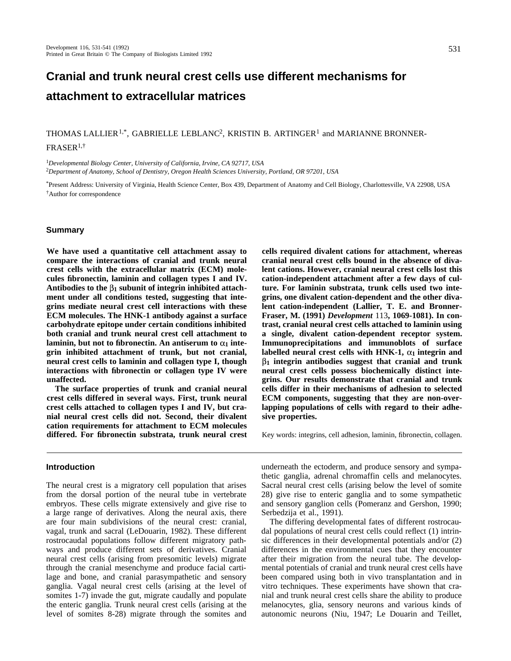# **Cranial and trunk neural crest cells use different mechanisms for attachment to extracellular matrices**

# THOMAS LALLIER<sup>1,\*</sup>, GABRIELLE LEBLANC<sup>2</sup>, KRISTIN B. ARTINGER<sup>1</sup> and MARIANNE BRONNER-FRASER1,†

<sup>1</sup>*Developmental Biology Center, University of California, Irvine, CA 92717, USA* <sup>2</sup>*Department of Anatomy, School of Dentistry, Oregon Health Sciences University, Portland, OR 97201, USA*

\*Present Address: University of Virginia, Health Science Center, Box 439, Department of Anatomy and Cell Biology, Charlottesville, VA 22908, USA †Author for correspondence

# **Summary**

**We have used a quantitative cell attachment assay to compare the interactions of cranial and trunk neural crest cells with the extracellular matrix (ECM) molecules fibronectin, laminin and collagen types I and IV.** Antibodies to the  $\beta_1$  subunit of integrin inhibited attach**ment under all conditions tested, suggesting that integrins mediate neural crest cell interactions with these ECM molecules. The HNK-1 antibody against a surface carbohydrate epitope under certain conditions inhibited both cranial and trunk neural crest cell attachment to** laminin, but not to fibronectin. An antiserum to  $\alpha_1$  inte**grin inhibited attachment of trunk, but not cranial, neural crest cells to laminin and collagen type I, though interactions with fibronectin or collagen type IV were unaffected.**

**The surface properties of trunk and cranial neural crest cells differed in several ways. First, trunk neural crest cells attached to collagen types I and IV, but cranial neural crest cells did not. Second, their divalent cation requirements for attachment to ECM molecules differed. For fibronectin substrata, trunk neural crest**

# **Introduction**

The neural crest is a migratory cell population that arises from the dorsal portion of the neural tube in vertebrate embryos. These cells migrate extensively and give rise to a large range of derivatives. Along the neural axis, there are four main subdivisions of the neural crest: cranial, vagal, trunk and sacral (LeDouarin, 1982). These different rostrocaudal populations follow different migratory pathways and produce different sets of derivatives. Cranial neural crest cells (arising from presomitic levels) migrate through the cranial mesenchyme and produce facial cartilage and bone, and cranial parasympathetic and sensory ganglia. Vagal neural crest cells (arising at the level of somites 1-7) invade the gut, migrate caudally and populate the enteric ganglia. Trunk neural crest cells (arising at the level of somites 8-28) migrate through the somites and

**cells required divalent cations for attachment, whereas cranial neural crest cells bound in the absence of divalent cations. However, cranial neural crest cells lost this cation-independent attachment after a few days of culture. For laminin substrata, trunk cells used two integrins, one divalent cation-dependent and the other divalent cation-independent (Lallier, T. E. and Bronner-Fraser, M. (1991)** *Development* 113**, 1069-1081). In contrast, cranial neural crest cells attached to laminin using a single, divalent cation-dependent receptor system. Immunoprecipitations and immunoblots of surface** labelled neural crest cells with HNK-1,  $\alpha_1$  integrin and **1 integrin antibodies suggest that cranial and trunk neural crest cells possess biochemically distinct integrins. Our results demonstrate that cranial and trunk cells differ in their mechanisms of adhesion to selected ECM components, suggesting that they are non-overlapping populations of cells with regard to their adhesive properties.** 

Key words: integrins, cell adhesion, laminin, fibronectin, collagen.

underneath the ectoderm, and produce sensory and sympathetic ganglia, adrenal chromaffin cells and melanocytes. Sacral neural crest cells (arising below the level of somite 28) give rise to enteric ganglia and to some sympathetic and sensory ganglion cells (Pomeranz and Gershon, 1990; Serbedzija et al., 1991).

The differing developmental fates of different rostrocaudal populations of neural crest cells could reflect (1) intrinsic differences in their developmental potentials and/or (2) differences in the environmental cues that they encounter after their migration from the neural tube. The developmental potentials of cranial and trunk neural crest cells have been compared using both in vivo transplantation and in vitro techniques. These experiments have shown that cranial and trunk neural crest cells share the ability to produce melanocytes, glia, sensory neurons and various kinds of autonomic neurons (Niu, 1947; Le Douarin and Teillet,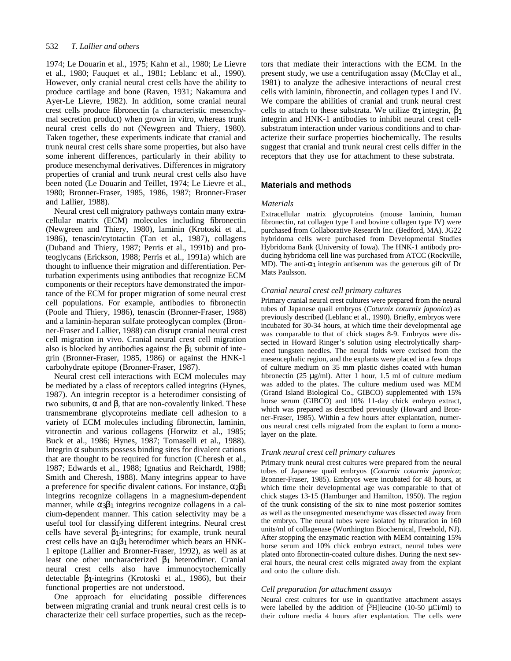#### 532 *T. Lallier and others*

1974; Le Douarin et al., 1975; Kahn et al., 1980; Le Lievre et al., 1980; Fauquet et al., 1981; Leblanc et al., 1990). However, only cranial neural crest cells have the ability to produce cartilage and bone (Raven, 1931; Nakamura and Ayer-Le Lievre, 1982). In addition, some cranial neural crest cells produce fibronectin (a characteristic mesenchymal secretion product) when grown in vitro, whereas trunk neural crest cells do not (Newgreen and Thiery, 1980). Taken together, these experiments indicate that cranial and trunk neural crest cells share some properties, but also have some inherent differences, particularly in their ability to produce mesenchymal derivatives. Differences in migratory properties of cranial and trunk neural crest cells also have been noted (Le Douarin and Teillet, 1974; Le Lievre et al., 1980; Bronner-Fraser, 1985, 1986, 1987; Bronner-Fraser and Lallier, 1988).

Neural crest cell migratory pathways contain many extracellular matrix (ECM) molecules including fibronectin (Newgreen and Thiery, 1980), laminin (Krotoski et al., 1986), tenascin/cytotactin (Tan et al., 1987), collagens (Duband and Thiery, 1987; Perris et al., 1991b) and proteoglycans (Erickson, 1988; Perris et al., 1991a) which are thought to influence their migration and differentiation. Perturbation experiments using antibodies that recognize ECM components or their receptors have demonstrated the importance of the ECM for proper migration of some neural crest cell populations. For example, antibodies to fibronectin (Poole and Thiery, 1986), tenascin (Bronner-Fraser, 1988) and a laminin-heparan sulfate proteoglycan complex (Bronner-Fraser and Lallier, 1988) can disrupt cranial neural crest cell migration in vivo. Cranial neural crest cell migration also is blocked by antibodies against the  $\rightarrow$  subunit of integrin (Bronner-Fraser, 1985, 1986) or against the HNK-1 carbohydrate epitope (Bronner-Fraser, 1987).

Neural crest cell interactions with ECM molecules may be mediated by a class of receptors called integrins (Hynes, 1987). An integrin receptor is a heterodimer consisting of two subunits, and , that are non-covalently linked. These transmembrane glycoproteins mediate cell adhesion to a variety of ECM molecules including fibronectin, laminin, vitronectin and various collagens (Horwitz et al., 1985; Buck et al., 1986; Hynes, 1987; Tomaselli et al., 1988). Integrin subunits possess binding sites for divalent cations that are thought to be required for function (Cheresh et al., 1987; Edwards et al., 1988; Ignatius and Reichardt, 1988; Smith and Cheresh, 1988). Many integrins appear to have a preference for specific divalent cations. For instance, 2 1 integrins recognize collagens in a magnesium-dependent manner, while  $\overline{3}$  1 integrins recognize collagens in a calcium-dependent manner. This cation selectivity may be a useful tool for classifying different integrins. Neural crest cells have several  $_1$ -integrins; for example, trunk neural crest cells have an  $1$  1 heterodimer which bears an HNK-1 epitope (Lallier and Bronner-Fraser, 1992), as well as at least one other uncharacterized  $1$  heterodimer. Cranial neural crest cells also have immunocytochemically detectable 1-integrins (Krotoski et al., 1986), but their functional properties are not understood.

One approach for elucidating possible differences between migrating cranial and trunk neural crest cells is to characterize their cell surface properties, such as the receptors that mediate their interactions with the ECM. In the present study, we use a centrifugation assay (McClay et al., 1981) to analyze the adhesive interactions of neural crest cells with laminin, fibronectin, and collagen types I and IV. We compare the abilities of cranial and trunk neural crest cells to attach to these substrata. We utilize  $\frac{1}{1}$  integrin, 1 integrin and HNK-1 antibodies to inhibit neural crest cellsubstratum interaction under various conditions and to characterize their surface properties biochemically. The results suggest that cranial and trunk neural crest cells differ in the receptors that they use for attachment to these substrata.

# **Materials and methods**

# *Materials*

Extracellular matrix glycoproteins (mouse laminin, human fibronectin, rat collagen type I and bovine collagen type IV) were purchased from Collaborative Research Inc. (Bedford, MA). JG22 hybridoma cells were purchased from Developmental Studies Hybridoma Bank (University of Iowa). The HNK-1 antibody producing hybridoma cell line was purchased from ATCC (Rockville, MD). The anti-  $_1$  integrin antiserum was the generous gift of Dr Mats Paulsson.

# *Cranial neural crest cell primary cultures*

Primary cranial neural crest cultures were prepared from the neural tubes of Japanese quail embryos (*Coturnix coturnix japonica*) as previously described (Leblanc et al., 1990). Briefly, embryos were incubated for 30-34 hours, at which time their developmental age was comparable to that of chick stages 8-9. Embryos were dissected in Howard Ringer's solution using electrolytically sharpened tungsten needles. The neural folds were excised from the mesencephalic region, and the explants were placed in a few drops of culture medium on 35 mm plastic dishes coated with human fibronectin (25  $\mu$ g/ml). After 1 hour, 1.5 ml of culture medium was added to the plates. The culture medium used was MEM (Grand Island Biological Co., GIBCO) supplemented with 15% horse serum (GIBCO) and 10% 11-day chick embryo extract, which was prepared as described previously (Howard and Bronner-Fraser, 1985). Within a few hours after explantation, numerous neural crest cells migrated from the explant to form a monolayer on the plate.

# *Trunk neural crest cell primary cultures*

Primary trunk neural crest cultures were prepared from the neural tubes of Japanese quail embryos (*Coturnix coturnix japonica*; Bronner-Fraser, 1985). Embryos were incubated for 48 hours, at which time their developmental age was comparable to that of chick stages 13-15 (Hamburger and Hamilton, 1950). The region of the trunk consisting of the six to nine most posterior somites as well as the unsegmented mesenchyme was dissected away from the embryo. The neural tubes were isolated by trituration in 160 units/ml of collagenase (Worthington Biochemical, Freehold, NJ). After stopping the enzymatic reaction with MEM containing 15% horse serum and 10% chick embryo extract, neural tubes were plated onto fibronectin-coated culture dishes. During the next several hours, the neural crest cells migrated away from the explant and onto the culture dish.

# *Cell preparation for attachment assays*

Neural crest cultures for use in quantitative attachment assays were labelled by the addition of  $[3H]$ leucine (10-50  $\mu$ Ci/ml) to their culture media 4 hours after explantation. The cells were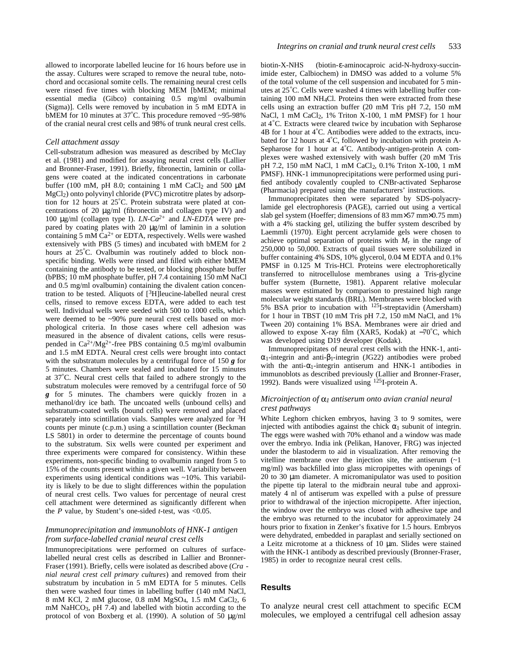allowed to incorporate labelled leucine for 16 hours before use in the assay. Cultures were scraped to remove the neural tube, notochord and occasional somite cells. The remaining neural crest cells were rinsed five times with blocking MEM [bMEM; minimal essential media (Gibco) containing 0.5 mg/ml ovalbumin (Sigma)]. Cells were removed by incubation in 5 mM EDTA in bMEM for 10 minutes at 37°C. This procedure removed ~95-98% of the cranial neural crest cells and 98% of trunk neural crest cells.

### *Cell attachment assay*

Cell-substratum adhesion was measured as described by McClay et al. (1981) and modified for assaying neural crest cells (Lallier and Bronner-Fraser, 1991). Briefly, fibronectin, laminin or collagens were coated at the indicated concentrations in carbonate buffer (100 mM, pH 8.0; containing 1 mM CaCl<sub>2</sub> and 500  $\mu$ M MgCl2) onto polyvinyl chloride (PVC) microtitre plates by adsorption for 12 hours at 25°C. Protein substrata were plated at concentrations of 20 μg/ml (fibronectin and collagen type IV) and 100 μg/ml (collagen type I). *LN-Ca2+* and *LN-EDTA* were prepared by coating plates with 20  $\mu$ g/ml of laminin in a solution containing 5 mM  $Ca^{2+}$  or EDTA, respectively. Wells were washed extensively with PBS (5 times) and incubated with bMEM for 2 hours at 25°C. Ovalbumin was routinely added to block nonspecific binding. Wells were rinsed and filled with either bMEM containing the antibody to be tested, or blocking phosphate buffer (bPBS; 10 mM phosphate buffer, pH 7.4 containing 150 mM NaCl and 0.5 mg/ml ovalbumin) containing the divalent cation concentration to be tested. Aliquots of [3H]leucine-labelled neural crest cells, rinsed to remove excess EDTA, were added to each test well. Individual wells were seeded with 500 to 1000 cells, which were deemed to be ~90% pure neural crest cells based on morphological criteria. In those cases where cell adhesion was measured in the absence of divalent cations, cells were resuspended in Ca2+/Mg2+-free PBS containing 0.5 mg/ml ovalbumin and 1.5 mM EDTA. Neural crest cells were brought into contact with the substratum molecules by a centrifugal force of 150 *g* for 5 minutes. Chambers were sealed and incubated for 15 minutes at 37°C. Neural crest cells that failed to adhere strongly to the substratum molecules were removed by a centrifugal force of 50 *g* for 5 minutes. The chambers were quickly frozen in a methanol/dry ice bath. The uncoated wells (unbound cells) and substratum-coated wells (bound cells) were removed and placed separately into scintillation vials. Samples were analyzed for  ${}^{3}H$ counts per minute (c.p.m.) using a scintillation counter (Beckman LS 5801) in order to determine the percentage of counts bound to the substratum. Six wells were counted per experiment and three experiments were compared for consistency. Within these experiments, non-specific binding to ovalbumin ranged from 5 to 15% of the counts present within a given well. Variability between experiments using identical conditions was ~10%. This variability is likely to be due to slight differences within the population of neural crest cells. Two values for percentage of neural crest cell attachment were determined as significantly different when the  $P$  value, by Student's one-sided  $t$ -test, was <0.05.

### *Immunoprecipitation and immunoblots of HNK-1 antigen from surface-labelled cranial neural crest cells*

Immunoprecipitations were performed on cultures of surfacelabelled neural crest cells as described in Lallier and Bronner-Fraser (1991). Briefly, cells were isolated as described above (*Cra nial neural crest cell primary cultures*) and removed from their substratum by incubation in 5 mM EDTA for 5 minutes. Cells then were washed four times in labelling buffer (140 mM NaCl, 8 mM KCl, 2 mM glucose, 0.8 mM MgSO4, 1.5 mM CaCl2, 6 mM NaHCO<sub>3</sub>, pH 7.4) and labelled with biotin according to the protocol of von Boxberg et al. (1990). A solution of 50 μg/ml

biotin-X-NHS (biotin- -aminocaproic acid-N-hydroxy-succinimide ester, Calbiochem) in DMSO was added to a volume 5% of the total volume of the cell suspension and incubated for 5 minutes at 25°C. Cells were washed 4 times with labelling buffer containing 100 mM NH4Cl. Proteins then were extracted from these cells using an extraction buffer (20 mM Tris pH 7.2, 150 mM NaCl, 1 mM CaCl2, 1% Triton X-100, 1 mM PMSF) for 1 hour at 4°C. Extracts were cleared twice by incubation with Sepharose 4B for 1 hour at 4°C. Antibodies were added to the extracts, incubated for 12 hours at 4°C, followed by incubation with protein A-Sepharose for 1 hour at 4°C. Antibody-antigen-protein A complexes were washed extensively with wash buffer (20 mM Tris pH 7.2, 150 mM NaCl, 1 mM CaCl2, 0.1% Triton X-100, 1 mM PMSF). HNK-1 immunoprecipitations were performed using purified antibody covalently coupled to CNBr-activated Sepharose (Pharmacia) prepared using the manufacturers' instructions.

Immunoprecipitates then were separated by SDS-polyacrylamide gel electrophoresis (PAGE), carried out using a vertical slab gel system (Hoeffer; dimensions of 83 mm  $\times$ 57 mm $\times$ 0.75 mm) with a 4% stacking gel, utilizing the buffer system described by Laemmli (1970). Eight percent acrylamide gels were chosen to achieve optimal separation of proteins with  $M_r$  in the range of 250,000 to 50,000. Extracts of quail tissues were solubilized in buffer containing 4% SDS, 10% glycerol, 0.04 M EDTA and 0.1% PMSF in 0.125 M Tris-HCl. Proteins were electrophoretically transferred to nitrocellulose membranes using a Tris-glycine buffer system (Burnette, 1981). Apparent relative molecular masses were estimated by comparison to prestained high range molecular weight standards (BRL). Membranes were blocked with 5% BSA prior to incubation with 125I-streptavidin (Amersham) for 1 hour in TBST (10 mM Tris pH 7.2, 150 mM NaCl, and 1% Tween 20) containing 1% BSA. Membranes were air dried and allowed to expose X-ray film (XAR5, Kodak) at  $-70^{\circ}$ C, which was developed using D19 developer (Kodak).

Immunoprecipitates of neural crest cells with the HNK-1, anti-1-integrin and anti- 1-integrin (JG22) antibodies were probed with the anti- 1-integrin antiserum and HNK-1 antibodies in immunoblots as described previously (Lallier and Bronner-Fraser, 1992). Bands were visualized using 125I-protein A.

### *Microinjection of 1 antiserum onto avian cranial neural crest pathways*

White Leghorn chicken embryos, having 3 to 9 somites, were injected with antibodies against the chick  $\frac{1}{1}$  subunit of integrin. The eggs were washed with 70% ethanol and a window was made over the embryo. India ink (Pelikan, Hanover, FRG) was injected under the blastoderm to aid in visualization. After removing the vitelline membrane over the injection site, the antiserum  $(-1)$ mg/ml) was backfilled into glass micropipettes with openings of 20 to 30 μm diameter. A micromanipulator was used to position the pipette tip lateral to the midbrain neural tube and approximately 4 nl of antiserum was expelled with a pulse of pressure prior to withdrawal of the injection micropipette. After injection, the window over the embryo was closed with adhesive tape and the embryo was returned to the incubator for approximately 24 hours prior to fixation in Zenker's fixative for 1.5 hours. Embryos were dehydrated, embedded in paraplast and serially sectioned on a Leitz microtome at a thickness of 10 μm. Slides were stained with the HNK-1 antibody as described previously (Bronner-Fraser, 1985) in order to recognize neural crest cells.

### **Results**

To analyze neural crest cell attachment to specific ECM molecules, we employed a centrifugal cell adhesion assay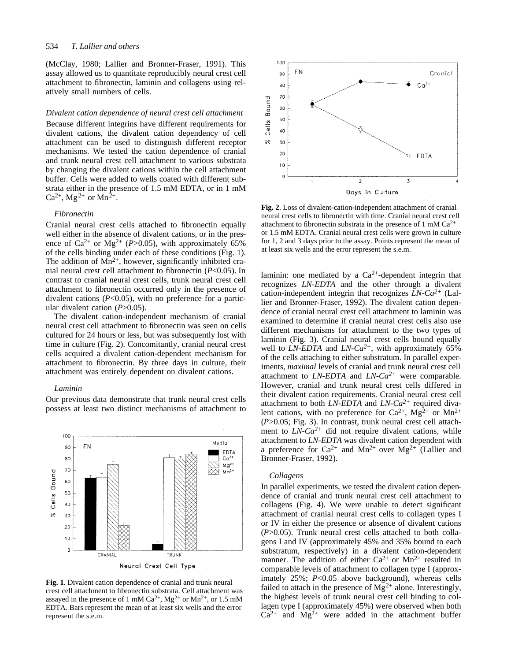#### 534 *T. Lallier and others*

(McClay, 1980; Lallier and Bronner-Fraser, 1991). This assay allowed us to quantitate reproducibly neural crest cell attachment to fibronectin, laminin and collagens using relatively small numbers of cells.

### *Divalent cation dependence of neural crest cell attachment*

Because different integrins have different requirements for divalent cations, the divalent cation dependency of cell attachment can be used to distinguish different receptor mechanisms. We tested the cation dependence of cranial and trunk neural crest cell attachment to various substrata by changing the divalent cations within the cell attachment buffer. Cells were added to wells coated with different substrata either in the presence of 1.5 mM EDTA, or in 1 mM  $Ca^{2+}$ , Mg<sup>2+</sup> or Mn<sup>2+</sup>.

### *Fibronectin*

Cranial neural crest cells attached to fibronectin equally well either in the absence of divalent cations, or in the presence of Ca<sup>2+</sup> or Mg<sup>2+</sup> (*P*>0.05), with approximately 65% of the cells binding under each of these conditions (Fig. 1). The addition of  $\text{Mn}^{2+}$ , however, significantly inhibited cranial neural crest cell attachment to fibronectin (*P*<0.05). In contrast to cranial neural crest cells, trunk neural crest cell attachment to fibronectin occurred only in the presence of divalent cations (*P*<0.05), with no preference for a particular divalent cation (*P*>0.05).

The divalent cation-independent mechanism of cranial neural crest cell attachment to fibronectin was seen on cells cultured for 24 hours or less, but was subsequently lost with time in culture (Fig. 2). Concomitantly, cranial neural crest cells acquired a divalent cation-dependent mechanism for attachment to fibronectin. By three days in culture, their attachment was entirely dependent on divalent cations.

### *Laminin*

Our previous data demonstrate that trunk neural crest cells possess at least two distinct mechanisms of attachment to



**Fig. 1**. Divalent cation dependence of cranial and trunk neural crest cell attachment to fibronectin substrata. Cell attachment was assayed in the presence of 1 mM Ca<sup>2+</sup>, Mg<sup>2+</sup> or Mn<sup>2+</sup>, or 1.5 mM EDTA. Bars represent the mean of at least six wells and the error represent the s.e.m.



**Fig. 2**. Loss of divalent-cation-independent attachment of cranial neural crest cells to fibronectin with time. Cranial neural crest cell attachment to fibronectin substrata in the presence of 1 mM  $Ca^{2+}$ or 1.5 mM EDTA. Cranial neural crest cells were grown in culture for 1, 2 and 3 days prior to the assay. Points represent the mean of at least six wells and the error represent the s.e.m.

laminin: one mediated by a  $Ca^{2+}$ -dependent integrin that recognizes *LN-EDTA* and the other through a divalent cation-independent integrin that recognizes *LN-Ca2+* (Lallier and Bronner-Fraser, 1992). The divalent cation dependence of cranial neural crest cell attachment to laminin was examined to determine if cranial neural crest cells also use different mechanisms for attachment to the two types of laminin (Fig. 3). Cranial neural crest cells bound equally well to *LN-EDTA* and *LN-Ca2+*, with approximately 65% of the cells attaching to either substratum. In parallel experiments, *maximal* levels of cranial and trunk neural crest cell attachment to *LN-EDTA* and *LN-Ca2+* were comparable. However, cranial and trunk neural crest cells differed in their divalent cation requirements. Cranial neural crest cell attachment to both *LN-EDTA* and *LN-Ca2+* required divalent cations, with no preference for  $Ca^{2+}$ ,  $Mg^{2+}$  or  $Mn^{2+}$ (*P*>0.05; Fig. 3). In contrast, trunk neural crest cell attachment to  $LN$ - $Ca^{2+}$  did not require divalent cations, while attachment to *LN-EDTA* was divalent cation dependent with a preference for  $Ca^{2+}$  and  $Mn^{2+}$  over  $Mg^{2+}$  (Lallier and Bronner-Fraser, 1992).

### *Collagens*

In parallel experiments, we tested the divalent cation dependence of cranial and trunk neural crest cell attachment to collagens (Fig. 4). We were unable to detect significant attachment of cranial neural crest cells to collagen types I or IV in either the presence or absence of divalent cations (*P*>0.05). Trunk neural crest cells attached to both collagens I and IV (approximately 45% and 35% bound to each substratum, respectively) in a divalent cation-dependent manner. The addition of either  $Ca^{2+}$  or  $Mn^{2+}$  resulted in comparable levels of attachment to collagen type I (approximately 25%; *P*<0.05 above background), whereas cells failed to attach in the presence of  $Mg^{2+}$  alone. Interestingly, the highest levels of trunk neural crest cell binding to collagen type I (approximately 45%) were observed when both  $Ca^{2+}$  and  $Mg^{2+}$  were added in the attachment buffer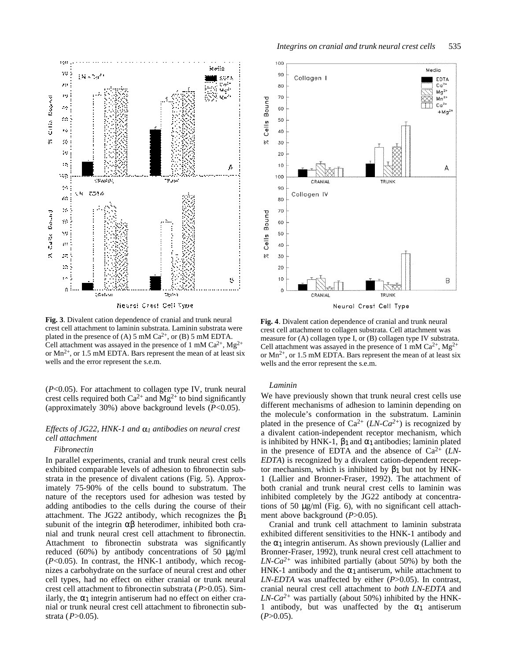

**Fig. 3**. Divalent cation dependence of cranial and trunk neural crest cell attachment to laminin substrata. Laminin substrata were plated in the presence of (A) 5 mM  $Ca^{2+}$ , or (B) 5 mM EDTA. Cell attachment was assayed in the presence of 1 mM  $Ca^{2+}$ , Mg<sup>2+</sup> or  $Mn^{2+}$ , or 1.5 mM EDTA. Bars represent the mean of at least six wells and the error represent the s.e.m.

(*P*<0.05). For attachment to collagen type IV, trunk neural crest cells required both  $Ca^{2+}$  and  $Mg^{2+}$  to bind significantly (approximately 30%) above background levels (*P*<0.05).

### *Effects of JG22, HNK-1 and*  $\alpha_1$  *antibodies on neural crest cell attachment*

### *Fibronectin*

In parallel experiments, cranial and trunk neural crest cells exhibited comparable levels of adhesion to fibronectin substrata in the presence of divalent cations (Fig. 5). Approximately 75-90% of the cells bound to substratum. The nature of the receptors used for adhesion was tested by adding antibodies to the cells during the course of their attachment. The JG22 antibody, which recognizes the 1 subunit of the integrin heterodimer, inhibited both cranial and trunk neural crest cell attachment to fibronectin. Attachment to fibronectin substrata was significantly reduced (60%) by antibody concentrations of 50  $\mu$ g/ml (*P*<0.05). In contrast, the HNK-1 antibody, which recognizes a carbohydrate on the surface of neural crest and other cell types, had no effect on either cranial or trunk neural crest cell attachment to fibronectin substrata (*P*>0.05). Similarly, the  $\rightarrow$  integrin antiserum had no effect on either cranial or trunk neural crest cell attachment to fibronectin substrata (*P*>0.05).



**Fig. 4**. Divalent cation dependence of cranial and trunk neural crest cell attachment to collagen substrata. Cell attachment was measure for (A) collagen type I, or (B) collagen type IV substrata. Cell attachment was assayed in the presence of 1 mM  $Ca^{2+}$ , Mg<sup>2+</sup> or  $Mn^{2+}$ , or 1.5 mM EDTA. Bars represent the mean of at least six wells and the error represent the s.e.m.

### *Laminin*

We have previously shown that trunk neural crest cells use different mechanisms of adhesion to laminin depending on the molecule's conformation in the substratum. Laminin plated in the presence of  $Ca^{2+}$  (*LN-Ca*<sup>2+</sup>) is recognized by a divalent cation-independent receptor mechanism, which is inhibited by HNK-1,  $\uparrow$  and  $\uparrow$  antibodies; laminin plated in the presence of EDTA and the absence of Ca2+ (*LN-EDTA*) is recognized by a divalent cation-dependent receptor mechanism, which is inhibited by  $\rightarrow$  1 but not by HNK-1 (Lallier and Bronner-Fraser, 1992). The attachment of both cranial and trunk neural crest cells to laminin was inhibited completely by the JG22 antibody at concentrations of 50  $\mu$ g/ml (Fig. 6), with no significant cell attachment above background (*P*>0.05).

Cranial and trunk cell attachment to laminin substrata exhibited different sensitivities to the HNK-1 antibody and the  $\frac{1}{1}$  integrin antiserum. As shown previously (Lallier and Bronner-Fraser, 1992), trunk neural crest cell attachment to  $LN$ - $Ca^{2+}$  was inhibited partially (about 50%) by both the HNK-1 antibody and the  $\alpha$  1 antiserum, while attachment to *LN-EDTA* was unaffected by either (*P*>0.05). In contrast, cranial neural crest cell attachment to *both LN-EDTA* and  $LN$ - $Ca^{2+}$  was partially (about 50%) inhibited by the HNK-1 antibody, but was unaffected by the 1 antiserum  $(P>0.05)$ .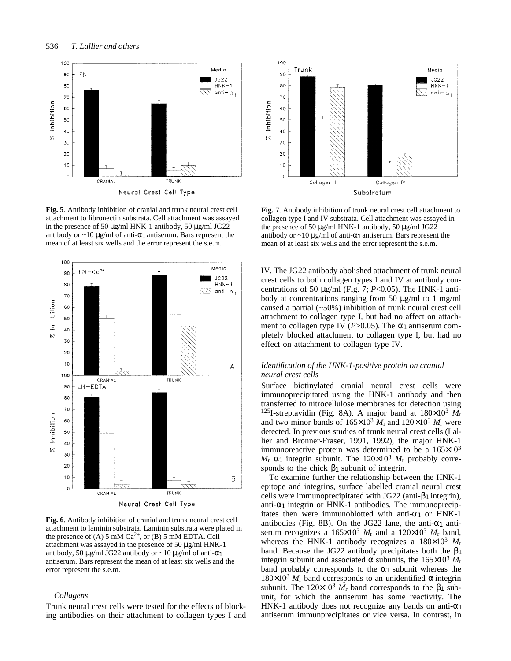

**Fig. 5**. Antibody inhibition of cranial and trunk neural crest cell attachment to fibronectin substrata. Cell attachment was assayed in the presence of 50 μg/ml HNK-1 antibody, 50 μg/ml JG22 antibody or  $\sim$ 10 μg/ml of anti- 1 antiserum. Bars represent the mean of at least six wells and the error represent the s.e.m.



**Fig. 6**. Antibody inhibition of cranial and trunk neural crest cell attachment to laminin substrata. Laminin substrata were plated in the presence of (A) 5 mM  $Ca^{2+}$ , or (B) 5 mM EDTA. Cell attachment was assayed in the presence of 50 μg/ml HNK-1 antibody, 50 μg/ml JG22 antibody or  $\sim$ 10 μg/ml of anti- 1 antiserum. Bars represent the mean of at least six wells and the error represent the s.e.m.

### *Collagens*

Trunk neural crest cells were tested for the effects of blocking antibodies on their attachment to collagen types I and



**Fig. 7**. Antibody inhibition of trunk neural crest cell attachment to collagen type I and IV substrata. Cell attachment was assayed in the presence of 50 μg/ml HNK-1 antibody, 50 μg/ml JG22 antibody or  $\sim$ 10 μg/ml of anti- 1 antiserum. Bars represent the mean of at least six wells and the error represent the s.e.m.

IV. The JG22 antibody abolished attachment of trunk neural crest cells to both collagen types I and IV at antibody concentrations of 50 μg/ml (Fig. 7; *P*<0.05). The HNK-1 antibody at concentrations ranging from 50 μg/ml to 1 mg/ml caused a partial (~50%) inhibition of trunk neural crest cell attachment to collagen type I, but had no affect on attachment to collagen type IV  $(P>0.05)$ . The 1 antiserum completely blocked attachment to collagen type I, but had no effect on attachment to collagen type IV.

# *Identification of the HNK-1-positive protein on cranial neural crest cells*

Surface biotinylated cranial neural crest cells were immunoprecipitated using the HNK-1 antibody and then transferred to nitrocellulose membranes for detection using <sup>125</sup>I-streptavidin (Fig. 8A). A major band at 180×10<sup>3</sup> *M*<sup>r</sup> and two minor bands of  $165 \times 10^3$   $M_r$  and  $120 \times 10^3$   $M_r$  were detected. In previous studies of trunk neural crest cells (Lallier and Bronner-Fraser, 1991, 1992), the major HNK-1 immunoreactive protein was determined to be a  $165 \times 10^3$  $M_{\rm r}$  1 integrin subunit. The  $120\times10^3$   $M_{\rm r}$  probably corresponds to the chick  $\rightarrow$  1 subunit of integrin.

To examine further the relationship between the HNK-1 epitope and integrins, surface labelled cranial neural crest cells were immunoprecipitated with JG22 (anti- 1integrin), anti- 1 integrin or HNK-1 antibodies. The immunoprecipitates then were immunoblotted with anti- 1 or HNK-1 antibodies (Fig. 8B). On the JG22 lane, the anti- 1 antiserum recognizes a  $165 \times 10^3$  *M*<sub>r</sub> and a  $120 \times 10^3$  *M*<sub>r</sub> band, whereas the HNK-1 antibody recognizes a  $180\times10^3$   $M_r$ band. Because the JG22 antibody precipitates both the 1 integrin subunit and associated subunits, the  $165 \times 10^3$   $M_r$ band probably corresponds to the  $\rightarrow$  1 subunit whereas the  $180\times10^3$   $M_r$  band corresponds to an unidentified integrin subunit. The  $120\times10^3$   $\dot{M}_r$  band corresponds to the 1 subunit, for which the antiserum has some reactivity. The HNK-1 antibody does not recognize any bands on anti- 1 antiserum immunprecipitates or vice versa. In contrast, in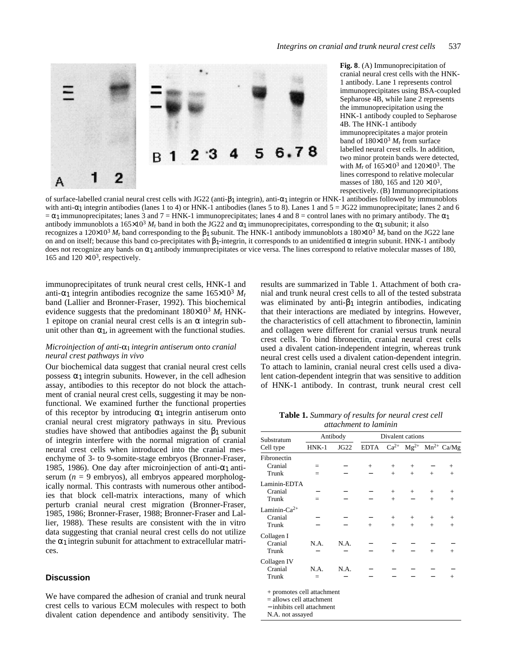

**Fig. 8**. (A) Immunoprecipitation of cranial neural crest cells with the HNK-1 antibody. Lane 1 represents control immunoprecipitates using BSA-coupled Sepharose 4B, while lane 2 represents the immunoprecipitation using the HNK-1 antibody coupled to Sepharose 4B. The HNK-1 antibody immunoprecipitates a major protein band of  $180\times10^3$   $M_r$  from surface labelled neural crest cells. In addition, two minor protein bands were detected, with  $M_r$  of  $165 \times 10^3$  and  $120 \times 10^3$ . The lines correspond to relative molecular masses of 180, 165 and 120 ×103, respectively. (B) Immunoprecipitations

of surface-labelled cranial neural crest cells with JG22 (anti- 1integrin), anti- 1integrin or HNK-1 antibodies followed by immunoblots with anti- 1 integrin antibodies (lanes 1 to 4) or HNK-1 antibodies (lanes 5 to 8). Lanes 1 and  $5 = JG22$  immunoprecipitate; lanes 2 and 6 1 immunoprecipitates; lanes 3 and  $7 = HNK-1$  immunoprecipitates; lanes 4 and  $8 =$  control lanes with no primary antibody. The 1 antibody immunoblots a  $165\times10^3$  *M<sub>r</sub>* band in both the JG22 and 1 immunoprecipitates, corresponding to the 1subunit; it also recognizes a  $120\times10^3$  *M*<sub>r</sub> band corresponding to the 1 subunit. The HNK-1 antibody immunoblots a  $180\times10^3$  *M*<sub>r</sub> band on the JG22 lane on and on itself; because this band co-precipitates with 1-integrin, it corresponds to an unidentified integrin subunit. HNK-1 antibody does not recognize any bands on 1antibody immunprecipitates or vice versa. The lines correspond to relative molecular masses of 180, 165 and 120  $\times$ 10<sup>3</sup>, respectively.

immunoprecipitates of trunk neural crest cells, HNK-1 and anti- 1 integrin antibodies recognize the same  $165 \times 10^3$   $M_r$ band (Lallier and Bronner-Fraser, 1992). This biochemical evidence suggests that the predominant  $180\times10^3$   $M_\text{r}$  HNK-1 epitope on cranial neural crest cells is an integrin subunit other than  $1$ , in agreement with the functional studies.

# *Microinjection of anti- integrin antiserum onto cranial neural crest pathways in vivo*

Our biochemical data suggest that cranial neural crest cells possess  $\frac{1}{1}$  integrin subunits. However, in the cell adhesion assay, antibodies to this receptor do not block the attachment of cranial neural crest cells, suggesting it may be nonfunctional. We examined further the functional properties of this receptor by introducing  $_1$  integrin antiserum onto cranial neural crest migratory pathways in situ. Previous studies have showed that antibodies against the  $\frac{1}{1}$  subunit of integrin interfere with the normal migration of cranial neural crest cells when introduced into the cranial mesenchyme of 3- to 9-somite-stage embryos (Bronner-Fraser, 1985, 1986). One day after microinjection of anti- 1 antiserum ( $n = 9$  embryos), all embryos appeared morphologically normal. This contrasts with numerous other antibodies that block cell-matrix interactions, many of which perturb cranial neural crest migration (Bronner-Fraser, 1985, 1986; Bronner-Fraser, 1988; Bronner-Fraser and Lallier, 1988). These results are consistent with the in vitro data suggesting that cranial neural crest cells do not utilize the  $\frac{1}{1}$  integrin subunit for attachment to extracellular matrices.

# **Discussion**

We have compared the adhesion of cranial and trunk neural crest cells to various ECM molecules with respect to both divalent cation dependence and antibody sensitivity. The results are summarized in Table 1. Attachment of both cranial and trunk neural crest cells to all of the tested substrata was eliminated by anti- $_1$  integrin antibodies, indicating that their interactions are mediated by integrins. However, the characteristics of cell attachment to fibronectin, laminin and collagen were different for cranial versus trunk neural crest cells. To bind fibronectin, cranial neural crest cells used a divalent cation-independent integrin, whereas trunk neural crest cells used a divalent cation-dependent integrin. To attach to laminin, cranial neural crest cells used a divalent cation-dependent integrin that was sensitive to addition of HNK-1 antibody. In contrast, trunk neural crest cell

**Table 1.** *Summary of results for neural crest cell attachment to laminin*

| Substratum<br>Cell type                                                                                    | Antibody |      | Divalent cations |        |        |        |                                                   |  |
|------------------------------------------------------------------------------------------------------------|----------|------|------------------|--------|--------|--------|---------------------------------------------------|--|
|                                                                                                            | $HNK-1$  | JG22 | <b>EDTA</b>      |        |        |        | $Ca^{2+}$ Mg <sup>2+</sup> Mn <sup>2+</sup> Ca/Mg |  |
| Fibronectin                                                                                                |          |      |                  |        |        |        |                                                   |  |
| Cranial                                                                                                    | $=$      |      | $+$              | $^{+}$ | $+$    |        | $^{+}$                                            |  |
| Trunk                                                                                                      |          |      |                  | $+$    | $+$    | $+$    | $+$                                               |  |
| Laminin-EDTA                                                                                               |          |      |                  |        |        |        |                                                   |  |
| Cranial                                                                                                    |          |      |                  | $^{+}$ | $+$    | $+$    | $+$                                               |  |
| Trunk                                                                                                      | $=$      |      |                  | $+$    |        | $+$    | $+$                                               |  |
| Laminin- $Ca^{2+}$                                                                                         |          |      |                  |        |        |        |                                                   |  |
| Cranial                                                                                                    |          |      |                  | $^{+}$ | $^{+}$ | $^{+}$ | $^{+}$                                            |  |
| Trunk                                                                                                      |          |      | $^{+}$           | $+$    | $+$    | $+$    | $+$                                               |  |
| Collagen I                                                                                                 |          |      |                  |        |        |        |                                                   |  |
| Cranial                                                                                                    | N.A.     | N.A. |                  |        |        |        |                                                   |  |
| Trunk                                                                                                      |          |      |                  | $+$    |        | $^{+}$ | $^{+}$                                            |  |
| Collagen IV                                                                                                |          |      |                  |        |        |        |                                                   |  |
| Cranial                                                                                                    | N.A.     | N.A. |                  |        |        |        |                                                   |  |
| Trunk                                                                                                      |          |      |                  |        |        |        | $+$                                               |  |
| + promotes cell attachment<br>$=$ allows cell attachment<br>- inhibits cell attachment<br>N.A. not assayed |          |      |                  |        |        |        |                                                   |  |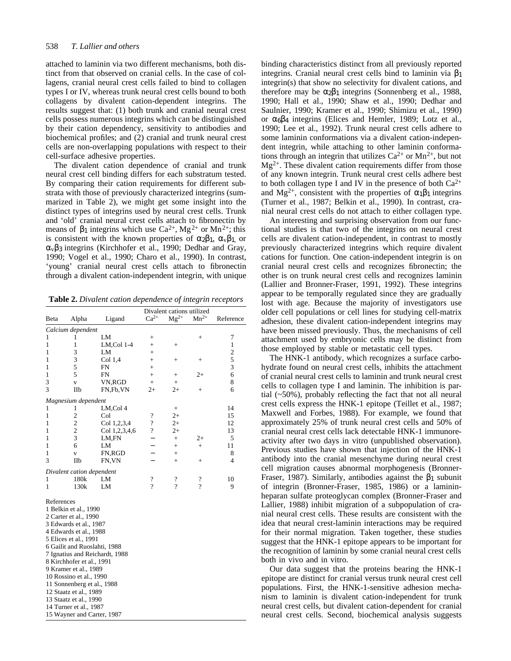attached to laminin via two different mechanisms, both distinct from that observed on cranial cells. In the case of collagens, cranial neural crest cells failed to bind to collagen types I or IV, whereas trunk neural crest cells bound to both collagens by divalent cation-dependent integrins. The results suggest that: (1) both trunk and cranial neural crest cells possess numerous integrins which can be distinguished by their cation dependency, sensitivity to antibodies and biochemical profiles; and (2) cranial and trunk neural crest cells are non-overlapping populations with respect to their cell-surface adhesive properties.

The divalent cation dependence of cranial and trunk neural crest cell binding differs for each substratum tested. By comparing their cation requirements for different substrata with those of previously characterized integrins (summarized in Table 2), we might get some insight into the distinct types of integrins used by neural crest cells. Trunk and 'old' cranial neural crest cells attach to fibronectin by means of  $\rightarrow$  1 integrins which use Ca<sup>2+</sup>, Mg<sup>2+</sup> or Mn<sup>2+</sup>; this is consistent with the known properties of  $2 \tcdot 1$ , v 1, or v 3integrins (Kirchhofer et al., 1990; Dedhar and Gray, 1990; Vogel et al., 1990; Charo et al., 1990). In contrast, 'young' cranial neural crest cells attach to fibronectin through a divalent cation-independent integrin, with unique

**Table 2.** *Divalent cation dependence of integrin receptors*

| Beta                       | Alpha                                                                                                                                                                                                                                                                                          | Ligand                                                         | Divalent cations utilized<br>$Ca^{2+}$ | Reference       |                    |                   |  |
|----------------------------|------------------------------------------------------------------------------------------------------------------------------------------------------------------------------------------------------------------------------------------------------------------------------------------------|----------------------------------------------------------------|----------------------------------------|-----------------|--------------------|-------------------|--|
|                            |                                                                                                                                                                                                                                                                                                |                                                                |                                        | $Mg^{2+}$       | $Mn^{2+}$          |                   |  |
|                            | Calcium dependent                                                                                                                                                                                                                                                                              | LM                                                             |                                        |                 |                    |                   |  |
| 1<br>1                     | 1<br>1                                                                                                                                                                                                                                                                                         |                                                                | $+$                                    |                 | $^{+}$             | 7<br>$\mathbf{1}$ |  |
| 1                          | 3                                                                                                                                                                                                                                                                                              | LM,Col 1-4<br>LM                                               | $^{+}$<br>$^{+}$                       | $^{+}$          |                    | $\overline{c}$    |  |
| 1                          | 3                                                                                                                                                                                                                                                                                              | Col 1,4                                                        | $+$                                    | $^{+}$          | $+$                | 5                 |  |
| 1                          | 5                                                                                                                                                                                                                                                                                              | FN                                                             | $+$                                    |                 |                    | 3                 |  |
| 1                          | 5                                                                                                                                                                                                                                                                                              | FN                                                             | $+$                                    | $\! +$          | $2+$               | 6                 |  |
| 3                          | $\overline{\mathbf{V}}$                                                                                                                                                                                                                                                                        | VN,RGD                                                         | $+$                                    | $+$             |                    | 8                 |  |
| 3                          | IIb                                                                                                                                                                                                                                                                                            | FN,Fb,VN                                                       | $2+$                                   | $2+$            | $^{+}$             | 6                 |  |
|                            | Magnesium dependent                                                                                                                                                                                                                                                                            |                                                                |                                        |                 |                    |                   |  |
| 1                          | 1                                                                                                                                                                                                                                                                                              | LM,Col 4                                                       |                                        | $\! + \!\!\!\!$ |                    | 14                |  |
| 1                          | $\overline{c}$                                                                                                                                                                                                                                                                                 | Col                                                            | $\overline{\cdot}$                     | $2+$            |                    | 15                |  |
| 1                          | $\overline{c}$                                                                                                                                                                                                                                                                                 | Col 1,2,3,4                                                    | $\overline{\mathcal{L}}$               | $2+$            |                    | 12                |  |
| 1                          | $\overline{c}$                                                                                                                                                                                                                                                                                 | Col 1,2,3,4,6                                                  | $\ddot{?}$                             | $2+$            |                    | 13                |  |
| 1                          | 3                                                                                                                                                                                                                                                                                              | LM,FN                                                          |                                        | $+$             | $^{2+}$            | 5                 |  |
| 1                          | 6                                                                                                                                                                                                                                                                                              | LM                                                             |                                        | $+$             | $+$                | 11                |  |
| 1                          | $\overline{\mathbf{V}}$                                                                                                                                                                                                                                                                        | FN,RGD                                                         |                                        | $+$             |                    | 8                 |  |
| 3                          | IIb                                                                                                                                                                                                                                                                                            | FN, VN                                                         |                                        | $+$             | $^{+}$             | 4                 |  |
|                            | Divalent cation dependent                                                                                                                                                                                                                                                                      |                                                                |                                        |                 |                    |                   |  |
| 1                          | 180k                                                                                                                                                                                                                                                                                           | LM                                                             | $\overline{\cdot}$                     | $\cdot$         | $\overline{\cdot}$ | 10                |  |
| 1                          | 130k                                                                                                                                                                                                                                                                                           | LM                                                             | ?                                      | 9               | 9                  | 9                 |  |
| References                 | 1 Belkin et al., 1990<br>2 Carter et al., 1990<br>3 Edwards et al., 1987<br>4 Edwards et al., 1988<br>5 Elices et al., 1991<br>8 Kirchhofer et al., 1991<br>9 Kramer et al., 1989<br>10 Rossino et al., 1990<br>11 Sonnenberg et al., 1988<br>12 Staatz et al., 1989<br>13 Staatz et al., 1990 | 6 Gailit and Ruoslahti, 1988<br>7 Ignatius and Reichardt, 1988 |                                        |                 |                    |                   |  |
|                            | 14 Turner et al., 1987                                                                                                                                                                                                                                                                         |                                                                |                                        |                 |                    |                   |  |
| 15 Wayner and Carter, 1987 |                                                                                                                                                                                                                                                                                                |                                                                |                                        |                 |                    |                   |  |

binding characteristics distinct from all previously reported integrins. Cranial neural crest cells bind to laminin via 1 integrin(s) that show no selectivity for divalent cations, and therefore may be  $2 \t1$  integrins (Sonnenberg et al., 1988, 1990; Hall et al., 1990; Shaw et al., 1990; Dedhar and Saulnier, 1990; Kramer et al., 1990; Shimizu et al., 1990) or 6 4 integrins (Elices and Hemler, 1989; Lotz et al., 1990; Lee et al., 1992). Trunk neural crest cells adhere to some laminin conformations via a divalent cation-independent integrin, while attaching to other laminin conformations through an integrin that utilizes  $Ca^{2+}$  or  $Mn^{2+}$ , but not  $Mg^{2+}$ . These divalent cation requirements differ from those of any known integrin. Trunk neural crest cells adhere best to both collagen type I and IV in the presence of both  $Ca^{2+}$ and  $Mg^{2+}$ , consistent with the properties of 1 1 integrins (Turner et al., 1987; Belkin et al., 1990). In contrast, cranial neural crest cells do not attach to either collagen type.

An interesting and surprising observation from our functional studies is that two of the integrins on neural crest cells are divalent cation-independent, in contrast to mostly previously characterized integrins which require divalent cations for function. One cation-independent integrin is on cranial neural crest cells and recognizes fibronectin; the other is on trunk neural crest cells and recognizes laminin (Lallier and Bronner-Fraser, 1991, 1992). These integrins appear to be temporally regulated since they are gradually lost with age. Because the majority of investigators use older cell populations or cell lines for studying cell-matrix adhesion, these divalent cation-independent integrins may have been missed previously. Thus, the mechanisms of cell attachment used by embryonic cells may be distinct from those employed by stable or metastatic cell types.

The HNK-1 antibody, which recognizes a surface carbohydrate found on neural crest cells, inhibits the attachment of cranial neural crest cells to laminin and trunk neural crest cells to collagen type I and laminin. The inhibition is partial (~50%), probably reflecting the fact that not all neural crest cells express the HNK-1 epitope (Teillet et al., 1987; Maxwell and Forbes, 1988). For example, we found that approximately 25% of trunk neural crest cells and 50% of cranial neural crest cells lack detectable HNK-1 immunoreactivity after two days in vitro (unpublished observation). Previous studies have shown that injection of the HNK-1 antibody into the cranial mesenchyme during neural crest cell migration causes abnormal morphogenesis (Bronner-Fraser, 1987). Similarly, antibodies against the  $\rightarrow$  subunit of integrin (Bronner-Fraser, 1985, 1986) or a lamininheparan sulfate proteoglycan complex (Bronner-Fraser and Lallier, 1988) inhibit migration of a subpopulation of cranial neural crest cells. These results are consistent with the idea that neural crest-laminin interactions may be required for their normal migration. Taken together, these studies suggest that the HNK-1 epitope appears to be important for the recognition of laminin by some cranial neural crest cells both in vivo and in vitro.

Our data suggest that the proteins bearing the HNK-1 epitope are distinct for cranial versus trunk neural crest cell populations. First, the HNK-1-sensitive adhesion mechanism to laminin is divalent cation-independent for trunk neural crest cells, but divalent cation-dependent for cranial neural crest cells. Second, biochemical analysis suggests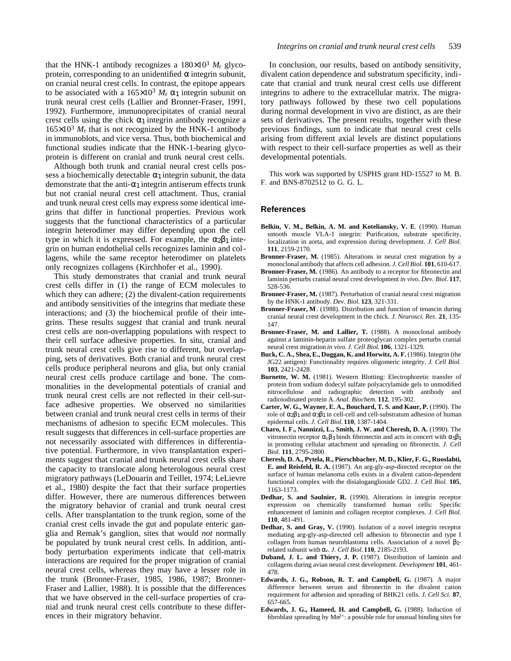that the HNK-1 antibody recognizes a  $180\times10^3$   $M_r$  glycoprotein, corresponding to an unidentified integrin subunit, on cranial neural crest cells. In contrast, the epitope appears to be associated with a  $165 \times 10^3$  *M*<sub>r</sub> 1 integrin subunit on trunk neural crest cells (Lallier and Bronner-Fraser, 1991, 1992). Furthermore, immunoprecipitates of cranial neural crest cells using the chick  $\rightarrow$  1 integrin antibody recognize a  $165\times10^3$   $M_r$  that is not recognized by the HNK-1 antibody in immunoblots, and vice versa. Thus, both biochemical and functional studies indicate that the HNK-1-bearing glycoprotein is different on cranial and trunk neural crest cells.

Although both trunk and cranial neural crest cells possess a biochemically detectable  $\rightarrow$  integrin subunit, the data demonstrate that the anti- $\frac{1}{1}$  integrin antiserum effects trunk but not cranial neural crest cell attachment. Thus, cranial and trunk neural crest cells may express some identical integrins that differ in functional properties. Previous work suggests that the functional characteristics of a particular integrin heterodimer may differ depending upon the cell type in which it is expressed. For example, the  $\geq 1$  integrin on human endothelial cells recognizes laminin and collagens, while the same receptor heterodimer on platelets only recognizes collagens (Kirchhofer et al., 1990).

This study demonstrates that cranial and trunk neural crest cells differ in (1) the range of ECM molecules to which they can adhere; (2) the divalent-cation requirements and antibody sensitivities of the integrins that mediate these interactions; and (3) the biochemical profile of their integrins. These results suggest that cranial and trunk neural crest cells are non-overlapping populations with respect to their cell surface adhesive properties. In situ, cranial and trunk neural crest cells give rise to different, but overlapping, sets of derivatives. Both cranial and trunk neural crest cells produce peripheral neurons and glia, but only cranial neural crest cells produce cartilage and bone. The commonalities in the developmental potentials of cranial and trunk neural crest cells are not reflected in their cell-surface adhesive properties. We observed no similarities between cranial and trunk neural crest cells in terms of their mechanisms of adhesion to specific ECM molecules. This result suggests that differences in cell-surface properties are not necessarily associated with differences in differentiative potential. Furthermore, in vivo transplantation experiments suggest that cranial and trunk neural crest cells share the capacity to translocate along heterologous neural crest migratory pathways (LeDouarin and Teillet, 1974; LeLievre et al., 1980) despite the fact that their surface properties differ. However, there are numerous differences between the migratory behavior of cranial and trunk neural crest cells. After transplantation to the trunk region, some of the cranial crest cells invade the gut and populate enteric ganglia and Remak's ganglion, sites that would *not* normally be populated by trunk neural crest cells. In addition, antibody perturbation experiments indicate that cell-matrix interactions are required for the proper migration of cranial neural crest cells, whereas they may have a lesser role in the trunk (Bronner-Fraser, 1985, 1986, 1987; Bronner-Fraser and Lallier, 1988). It is possible that the differences that we have observed in the cell-surface properties of cranial and trunk neural crest cells contribute to these differences in their migratory behavior.

In conclusion, our results, based on antibody sensitivity, divalent cation dependence and substratum specificity, indicate that cranial and trunk neural crest cells use different integrins to adhere to the extracellular matrix. The migratory pathways followed by these two cell populations during normal development in vivo are distinct, as are their sets of derivatives. The present results, together with these previous findings, sum to indicate that neural crest cells arising from different axial levels are distinct populations with respect to their cell-surface properties as well as their developmental potentials.

This work was supported by USPHS grant HD-15527 to M. B. F. and BNS-8702512 to G. G. L.

### **References**

- **Belkin, V. M., Belkin, A. M. and Koteliansky, V. E**. (1990). Human smooth muscle VLA-1 integrin: Purification, substrate specificity, localization in aorta, and expression during development. *J. Cell Biol.* **111**, 2159-2170.
- Bronner-Fraser, M. (1985). Alterations in neural crest migration by a monoclonal antibody that affects cell adhesion. *J. Cell Biol.* **101**, 610-617.
- **Bronner-Fraser, M.** (1986). An antibody to a receptor for fibronectin and laminin perturbs cranial neural crest development *in vivo*. *Dev. Biol.* **117**, 528-536.
- **Bronner-Fraser, M.** (1987). Perturbation of cranial neural crest migration by the HNK-1 antibody. *Dev. Biol.* **123**, 321-331.
- **Bronner-Fraser, M**. (1988). Distribution and function of tenascin during cranial neural crest development in the chick. *J. Neurosci. Res*. **21**, 135- 147.
- **Bronner-Fraser, M. and Lallier, T.** (1988). A monoclonal antibody against a laminin-heparin sulfate proteoglycan complex perturbs cranial neural crest migration *in vivo*. *J. Cell Biol*. **106**, 1321-1329.
- Buck, C. A., Shea, E., Duggan, K. and Horwitz, A. F. (1986). Integrin (the JG22 antigen): Functionality requires oligomeric integrity. *J. Cell Biol.* **103**, 2421-2428.
- **Burnette, W. M.** (1981). Western Blotting: Electrophoretic transfer of protein from sodium dodecyl sulfate polyacrylamide gels to unmodified nitrocellulose and radiographic detection with antibody and radioiodinated protein A. *Anal. Biochem.* **112**, 195-302.
- **Carter, W. G., Wayner, E. A., Bouchard, T. S. and Kaur, P.** (1990). The role of 2 1and 3 1in cell-cell and cell-substratum adhesion of human epidermal cells. *J. Cell Biol.* **110**, 1387-1404.
- **Charo, I. F., Nannizzi, L., Smith, J. W. and Cheresh, D. A.** (1990). The vitronectin receptor  $\sqrt{v}$  3binds fibronectin and acts in concert with  $51$ in promoting cellular attachment and spreading on fibronectin. *J. Cell Biol.* **111**, 2795-2800.
- **Cheresh, D. A., Pytela, R., Pierschbacher, M. D., Klier, F. G., Ruoslahti, E. and Reisfeld, R. A.** (1987). An arg-gly-asp-directed receptor on the surface of human melanoma cells exists in a divalent cation-dependent functional complex with the disialoganglioside GD2. *J. Cell Biol.* **105**, 1163-1173.
- **Dedhar, S. and Saulnier, R.** (1990). Alterations in integrin receptor expression on chemically transformed human cells: Specific enhancement of laminin and collagen receptor complexes. *J. Cell Biol.* **110**, 481-491.
- **Dedhar, S. and Gray, V.** (1990). Isolation of a novel integrin receptor mediating arg-gly-asp-directed cell adhesion to fibronectin and type I collagen from human neuroblastoma cells. Association of a novel 1 related subunit with v. *J. Cell Biol.* **110**, 2185-2193.
- **Duband, J. L. and Thiery, J. P.** (1987). Distribution of laminin and collagens during avian neural crest development. *Development* **101**, 461- 478.
- **Edwards, J. G., Robson, R. T. and Campbell, G.** (1987). A major difference between serum and fibronectin in the divalent cation requirement for adhesion and spreading of BHK21 cells. *J. Cell Sci.* **87**, 657-665.
- **Edwards, J. G., Hameed, H. and Campbell, G.** (1988). Induction of fibroblast spreading by  $Mn^{2+}$ : a possible role for unusual binding sites for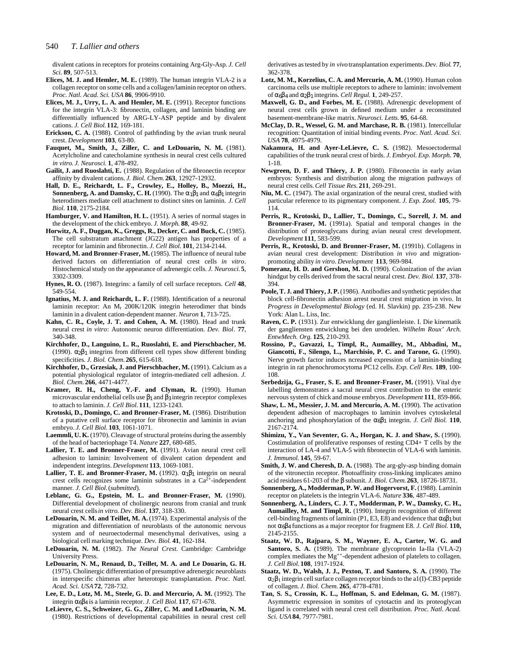divalent cations in receptors for proteins containing Arg-Gly-Asp. *J. Cell Sci.* **89**, 507-513.

- **Elices, M. J. and Hemler, M. E.** (1989). The human integrin VLA-2 is a collagen receptor on some cells and a collagen/laminin receptor on others. *Proc. Natl. Acad. Sci. USA* **86**, 9906-9910.
- **Elices, M. J., Urry, L. A. and Hemler, M. E.** (1991). Receptor functions for the integrin VLA-3: fibronectin, collagen, and laminin binding are differentially influenced by ARG-LY-ASP peptide and by divalent cations. *J. Cell Biol.* **112**, 169-181.
- **Erickson, C. A.** (1988). Control of pathfinding by the avian trunk neural crest. *Development* **103**, 63-80.
- **Fauquet, M., Smith, J., Ziller, C. and LeDouarin, N. M.** (1981). Acetylcholine and catecholamine synthesis in neural crest cells cultured *in vitro*. *J. Neurosci*. **1**, 478-492.
- **Gailit, J. and Ruoslahti, E.** (1988). Regulation of the fibronectin receptor affinity by divalent cations. *J. Biol. Chem.* **263**, 12927-12932.
- **Hall, D. E., Reichardt, L. F., Crowley, E., Holley, B., Moezzi, H., Sonnenberg, A. and Damsky, C. H.** (1990). The  $\frac{1}{1}$  and  $\frac{1}{6}$  1 integrin heterodimers mediate cell attachment to distinct sites on laminin. *J. Cell Biol.* **110**, 2175-2184.
- Hamburger, V. and Hamilton, H. L. (1951). A series of normal stages in the development of the chick embryo. *J. Morph*. **88**, 49-92.
- **Horwitz, A. F., Duggan, K., Greggs, R., Decker, C. and Buck, C.** (1985). The cell substratum attachment (JG22) antigen has properties of a receptor for laminin and fibronectin. *J. Cell Biol.* **101**, 2134-2144.
- Howard, M. and Bronner-Fraser, M. (1985). The influence of neural tube derived factors on differentiation of neural crest cells *in vitro*. Histochemical study on the appearance of adrenergic cells. *J. Neurosci.* **5**, 3302-3309.
- **Hynes, R. O.** (1987). Integrins: a family of cell surface receptors. *Cell* **48**, 549-554.
- **Ignatius, M. J. and Reichardt, L. F.** (1988). Identification of a neuronal laminin receptor: An Mr 200K/120K integrin heterodimer that binds laminin in a divalent cation-dependent manner. *Neuron* **1**, 713-725.
- **Kahn, C. R., Coyle, J. T. and Cohen, A. M.** (1980). Head and trunk neural crest *in vitro*: Autonomic neuron differentiation. *Dev. Biol*. **77**, 340-348.
- **Kirchhofer, D., Languino, L. R., Ruoslahti, E. and Pierschbacher, M.** (1990). 2 1 integrins from different cell types show different binding specificities. *J. Biol. Chem.* **265**, 615-618.
- Kirchhofer, D., Grzesiak, J. and Pierschbacher, M. (1991). Calcium as a potential physiological regulator of integrin-mediated cell adhesion. *J. Biol. Chem.* **266**, 4471-4477.
- **Kramer, R. H., Cheng, Y.-F. and Clyman, R.** (1990). Human microvascular endothelial cells use 1and 3integrin receptor complexes to attach to laminin. *J. Cell Biol.* **111**, 1233-1243.
- **Krotoski, D., Domingo, C. and Bronner-Fraser, M.** (1986). Distribution of a putative cell surface receptor for fibronectin and laminin in avian embryo. *J. Cell Biol.* **103**, 1061-1071.
- **Laemmli, U. K.** (1970). Cleavage of structural proteins during the assembly of the head of bacteriophage T4. *Nature* **227**, 680-685.
- Lallier, T. E. and Bronner-Fraser, M. (1991). Avian neural crest cell adhesion to laminin: Involvement of divalent cation dependent and independent integrins. *Development* **113**, 1069-1081.
- **Lallier, T. E. and Bronner-Fraser, M.** (1992).  $\tau$   $\tau$  integrin on neural crest cells recognizes some laminin substrates in a  $Ca^{2+}$ -independent manner. *J. Cell Biol.* (*submitted*).
- **Leblanc, G. G., Epstein, M. L. and Bronner-Fraser, M.** (1990). Differential development of cholinergic neurons from cranial and trunk neural crest cells *in vitro*. *Dev. Biol.* **137**, 318-330.
- LeDouarin, N. M. and Teillet, M. A. (1974). Experimental analysis of the migration and differentiation of neuroblasts of the autonomic nervous system and of neuroectodermal mesenchymal derivatives, using a biological cell marking technique. *Dev. Biol*. **41**, 162-184.
- **LeDouarin, N. M.** (1982). *The Neural Crest.* Cambridge: Cambridge University Press.
- **LeDouarin, N. M., Renaud, D., Teillet, M. A. and Le Douarin, G. H.** (1975). Cholinergic differentiation of presumptive adrenergic neuroblasts in interspecific chimeras after heterotopic transplantation. *Proc. Natl. Acad. Sci. USA***72**, 728-732.
- **Lee, E. D., Lotz, M. M., Steele, G. D. and Mercurio, A. M.** (1992). The integrin 6 4is a laminin receptor. *J. Cell Biol.* **117**, 671-678.
- **LeLievre, C. S., Schweizer, G. G., Ziller, C. M. and LeDouarin, N. M.** (1980). Restrictions of developmental capabilities in neural crest cell

derivatives as tested by *in vivo* transplantation experiments. *Dev. Biol*. **77**, 362-378.

- Lotz, M. M., Korzelius, C. A. and Mercurio, A. M. (1990). Human colon carcinoma cells use multiple receptors to adhere to laminin: involvement of 6 4and 2 1integrins. *Cell Regul*. **1**, 249-257.
- **Maxwell, G. D., and Forbes, M. E.** (1988). Adrenergic development of neural crest cells grown in defined medium under a reconstituted basement-membrane-like matrix. *Neurosci. Letts*. **95**, 64-68.
- McClay, D. R., Wessel, G. M. and Marchase, R. B. (1981). Intercellular recognition: Quantitation of initial binding events. *Proc. Natl. Acad. Sci. USA* **78**, 4975-4979.
- **Nakamura, H. and Ayer-LeLievre, C. S.** (1982). Mesoectodermal capabilities of the trunk neural crest of birds. *J. Embryol. Exp. Morph*. **70**, 1-18.
- **Newgreen, D. F. and Thiery, J. P.** (1980). Fibronectin in early avian embryos: Synthesis and distribution along the migration pathways of neural crest cells. *Cell Tissue Res.* **211**, 269-291.
- **Niu, M. C.** (1947). The axial organization of the neural crest, studied with particular reference to its pigmentary component. *J. Exp. Zool.* **105**, 79- 114.
- **Perris, R., Krotoski, D., Lallier, T., Domingo, C., Sorrell, J. M. and Bronner-Fraser, M.** (1991a). Spatial and temporal changes in the distribution of proteoglycans during avian neural crest development. *Development* **111**, 583-599.
- Perris, R., Krotoski, D. and Bronner-Fraser, M. (1991b). Collagens in avian neural crest development: Distribution *in vivo* and migrationpromoting ability *in vitro*. *Development* **113**, 969-984.
- Pomeranz, H. D. and Gershon, M. D. (1990). Colonization of the avian hindgut by cells derived from the sacral neural crest. *Dev. Biol*. **137**, 378- 394.
- Poole, T. J. and Thiery, J. P. (1986). Antibodies and synthetic peptides that block cell-fibronectin adhesion arrest neural crest migration in vivo. In *Progress in Developmental Biology* (ed. H. Slavkin) pp. 235-238. New York: Alan L. Liss, Inc.
- **Raven, C. P.** (1931). Zur entwicklung der ganglienleiste. I. Die kinematik der gangliensten entwicklung bei den urodelen. *Wilhelm Roux' Arch. EntwMech. Org.* **125**, 210-293.
- **Rossino, P., Gavazzi, I., Timpl, R., Aumailley, M., Abbadini, M., Giancotti, F., Silengo, L., Marchisio, P. C. and Tarone, G.** (1990). Nerve growth factor induces ncreased expression of a laminin-binding integrin in rat phenochromocytoma PC12 cells. *Exp. Cell Res.* **189**, 100- 108.
- Serbedzija, G., Fraser, S. E. and Bronner-Fraser, M. (1991). Vital dye labelling demonstrates a sacral neural crest contribution to the enteric nervous system of chick and mouse embryos. *Development* **111**, 859-866.
- Shaw, L. M., Messier, J. M. and Mercurio, A. M. (1990). The activation dependent adhesion of macrophages to laminin involves cytoskeletal anchoring and phosphorylation of the 6 1 integrin. *J. Cell Biol.* **110**, 2167-2174.
- **Shimizu, Y., Van Seventer, G. A., Horgan, K. J. and Shaw, S.** (1990). Costimulation of proliferative responses of resting CD4+ T cells by the interaction of LA-4 and VLA-5 with fibronectin of VLA-6 with laminin. *J. Immunol.* **145**, 59-67.
- **Smith, J. W. and Cheresh, D. A.** (1988). The arg-gly-asp binding domain of the vitronectin receptor. Photoaffinity cross-linking implicates amino acid residues 61-203 of the subunit. *J. Biol. Chem.* **263**, 18726-18731.
- **Sonnenberg, A., Modderman, P. W. and Hogervorst, F. (1988). Laminin** receptor on platelets is the integrin VLA-6. *Nature* **336**, 487-489.
- **Sonnenberg, A., Linders, C. J. T., Modderman, P. W., Damsky, C. H., Aumailley, M. and Timpl, R.** (1990). Integrin recognition of different cell-binding fragments of laminin (P1, E3, E8) and evidence that  $6$  1 but not 6 4functions as a major receptor for fragment E8. *J. Cell Biol.* **110,** 2145-2155.
- **Staatz, W. D., Rajpara, S. M., Wayner, E. A., Carter, W. G. and** Santoro, S. A. (1989). The membrane glycoprotein Ia-IIa (VLA-2) complex mediates the Mg++-dependent adhesion of platelets to collagen. *J. Cell Biol.* **108**, 1917-1924.
- **Staatz, W. D., Walsh, J. J., Pexton, T. and Santoro, S. A.** (1990). The 2 1 integrin cell surface collagen receptor binds to the a1(I)-CB3 peptide of collagen. *J. Biol. Chem.* **265**, 4778-4781.
- **Tan, S. S., Crossin, K. L., Hoffman, S. and Edelman, G. M.** (1987). Asymmetric expression in somites of cytotactin and its proteoglycan ligand is correlated with neural crest cell distribution. *Proc. Natl. Acad. Sci. USA***84**, 7977-7981.